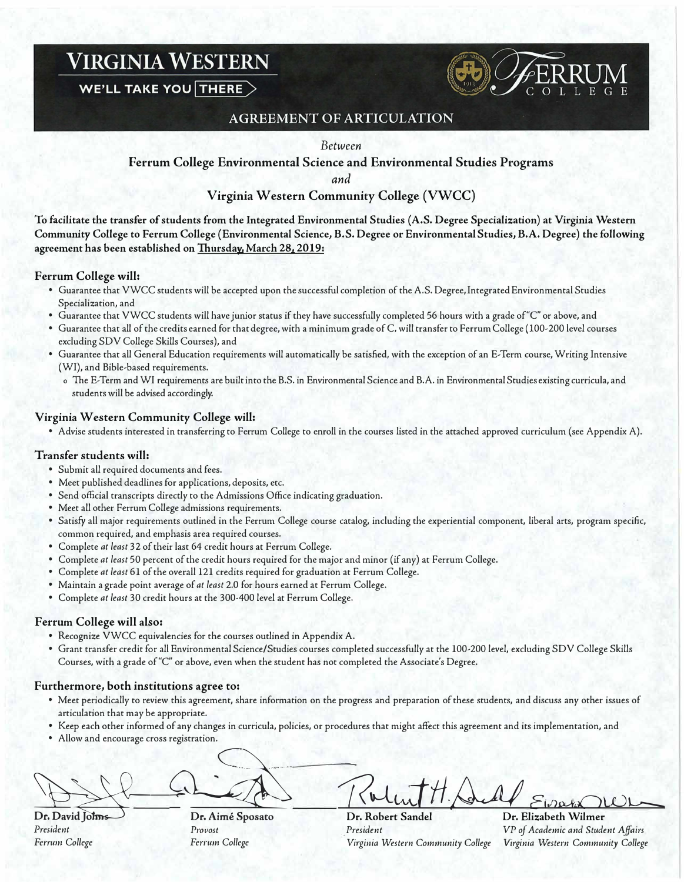# **VIRGINIA WESTERN**

**WE'LL TAKE YOU THERE >** 



## **AGREEMENT OF ARTICULATION**

#### Between

**Ferrum College Environmental Science and Environmental Studies Programs** 

**and** 

### **Virginia Western Community College (VWCC)**

**To facilitate the transfer of students from the Integrated Environmental Studies (A.S. Degree Specialization) at Virginia Western Community College to Ferrum College (Environmental Science, B.S. Degree or Environmental Studies, B.A. Degree) the following agreement has been established on Thursday, March 28, 2019:** 

#### **Ferrum College will:**

- Guarantee that VWCC students will be accepted upon the successful completion of the A.S. Degree, Integrated Environmental Studies Specialization, and
- Guarantee that VWCC students will have junior status if they have successfully completed 56 hours with a grade of"C" or above, and
- Guarantee that all of the credits earned for that degree, with a minimum grade of C, will transfer to Ferrum College (100-200 level courses excluding SDV College Skills Courses), and
- Guarantee that all General Education requirements will automatically be satisfied, with the exception of an E-Term course, Writing Intensive (WI), and Bible-based requirements.
	- o The E-Term and WI requirements are built into the B.S. in Environmental Science and B.A. in Environmental Studies existing curricula, and students will be advised accordingly.

#### **Virginia Western Community College will:**

• Advise students interested in transferring to Ferrum College to enroll in the courses listed in the attached approved curriculum (see Appendix A).

#### **Transfer students will:**

- Submit all required documents and fees.
- Meet published deadlines for applications, deposits, etc.
- Send official transcripts directly to the Admissions Office indicating graduation.
- Meet all other Ferrum College admissions requirements.
- Satisfy all major requirements outlined in the Ferrum College course catalog, including the experiential component, liberal arts, program specific, common required, and emphasis area required courses.
- Complete *at least* 32 of their last 64 credit hours at Ferrum College.
- Complete *at least* 50 percent of the credit hours required for the major and minor (if any) at Ferrum College.
- Complete *at least* 61 of the overall 121 credits required for graduation at Ferrum College.
- Maintain a grade point average of *at least* 2.0 for hours earned at Ferrum College.
- Complete *at least* 30 credit hours at the 300-400 level at Ferrum College.

#### **Ferrum College will also:**

- Recognize VWCC equivalencies for the courses outlined in Appendix A.
- Grant transfer credit for all Environmental Science/Studies courses completed successfully at the 100-200 level, excluding SDV College Skills Courses, with a grade of"C" or above, even when the student has not completed the Associate's Degree.

#### **Furthermore, both institutions agree to:**

- Meet periodically to review this agreement, share information on the progress and preparation of these students, and discuss any other issues of articulation that may be appropriate.
- Keep each other informed of any changes in curricula, policies, or procedures that might affect this agreement and its implementation, and
- Allow and encourage cross registration.

**1. President**<br>Dr. David Johns Dr. Aimé Sposato<br>President Provost President Affairs<br>President President President President President President President President Affairs

*President Provost President VP of Academic and Student Affairs Ferrum College Fer,-um College Virgi11ia Western Community College Virginia Western Community College*